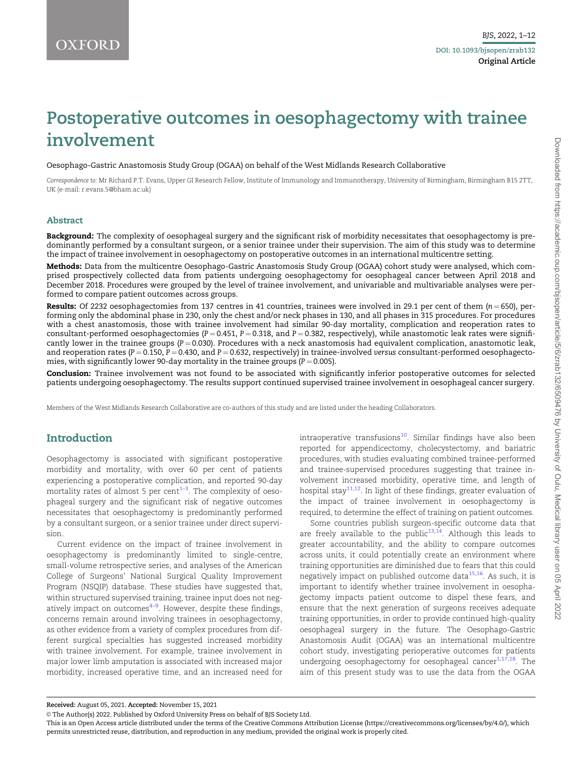# <span id="page-0-0"></span>Postoperative outcomes in oesophagectomy with trainee involvement

Oesophago-Gastric Anastomosis Study Group (OGAA) on behalf of the West Midlands Research Collaborative

Correspondence to: Mr Richard P.T. Evans, Upper GI Research Fellow, Institute of Immunology and Immunotherapy, University of Birmingham, Birmingham B15 2TT, UK (e-mail: r.evans.5@bham.ac.uk)

### Abstract

Background: The complexity of oesophageal surgery and the significant risk of morbidity necessitates that oesophagectomy is predominantly performed by a consultant surgeon, or a senior trainee under their supervision. The aim of this study was to determine the impact of trainee involvement in oesophagectomy on postoperative outcomes in an international multicentre setting.

Methods: Data from the multicentre Oesophago-Gastric Anastomosis Study Group (OGAA) cohort study were analysed, which comprised prospectively collected data from patients undergoing oesophagectomy for oesophageal cancer between April 2018 and December 2018. Procedures were grouped by the level of trainee involvement, and univariable and multivariable analyses were performed to compare patient outcomes across groups.

**Results:** Of 2232 oesophagectomies from 137 centres in 41 countries, trainees were involved in 29.1 per cent of them ( $n = 650$ ), performing only the abdominal phase in 230, only the chest and/or neck phases in 130, and all phases in 315 procedures. For procedures with a chest anastomosis, those with trainee involvement had similar 90-day mortality, complication and reoperation rates to consultant-performed oesophagectomies (P = 0.451, P = 0.318, and P = 0.382, respectively), while anastomotic leak rates were significantly lower in the trainee groups ( $P = 0.030$ ). Procedures with a neck anastomosis had equivalent complication, anastomotic leak, and reoperation rates ( $P = 0.150$ ,  $P = 0.430$ , and  $P = 0.632$ , respectively) in trainee-involved versus consultant-performed oesophagectomies, with significantly lower 90-day mortality in the trainee groups ( $P = 0.005$ ).

Conclusion: Trainee involvement was not found to be associated with significantly inferior postoperative outcomes for selected patients undergoing oesophagectomy. The results support continued supervised trainee involvement in oesophageal cancer surgery.

Members of the West Midlands Research Collaborative are co-authors of this study and are listed under the heading Collaborators.

# Introduction

Oesophagectomy is associated with significant postoperative morbidity and mortality, with over 60 per cent of patients experiencing a postoperative complication, and reported 90-day mortality rates of almost 5 per  $\mathrm{cent}^{1\text{--}3}.$  The complexity of oesophageal surgery and the significant risk of negative outcomes necessitates that oesophagectomy is predominantly performed by a consultant surgeon, or a senior trainee under direct supervision.

Current evidence on the impact of trainee involvement in oesophagectomy is predominantly limited to single-centre, small-volume retrospective series, and analyses of the American College of Surgeons' National Surgical Quality Improvement Program (NSQIP) database. These studies have suggested that, within structured supervised training, trainee input does not neg-atively impact on outcomes<sup>[4–9](#page-10-0)</sup>. However, despite these findings, concerns remain around involving trainees in oesophagectomy, as other evidence from a variety of complex procedures from different surgical specialties has suggested increased morbidity with trainee involvement. For example, trainee involvement in major lower limb amputation is associated with increased major morbidity, increased operative time, and an increased need for

intraoperative transfusions<sup>[10](#page-10-0)</sup>. Similar findings have also been reported for appendicectomy, cholecystectomy, and bariatric procedures, with studies evaluating combined trainee-performed and trainee-supervised procedures suggesting that trainee involvement increased morbidity, operative time, and length of hospital stay<sup>[11](#page-10-0),[12](#page-10-0)</sup>. In light of these findings, greater evaluation of the impact of trainee involvement in oesophagectomy is required, to determine the effect of training on patient outcomes.

Some countries publish surgeon-specific outcome data that are freely available to the public $13,14$  $13,14$  $13,14$ . Although this leads to greater accountability, and the ability to compare outcomes across units, it could potentially create an environment where training opportunities are diminished due to fears that this could negatively impact on published outcome data $15,16$  $15,16$ . As such, it is important to identify whether trainee involvement in oesophagectomy impacts patient outcome to dispel these fears, and ensure that the next generation of surgeons receives adequate training opportunities, in order to provide continued high-quality oesophageal surgery in the future. The Oesophago-Gastric Anastomosis Audit (OGAA) was an international multicentre cohort study, investigating perioperative outcomes for patients undergoing oesophagectomy for oesophageal cancer $1,17,18$  $1,17,18$  $1,17,18$  $1,17,18$  $1,17,18$ . The aim of this present study was to use the data from the OGAA

Received: August 05, 2021. Accepted: November 15, 2021

<sup>©</sup> The Author(s) 2022. Published by Oxford University Press on behalf of BJS Society Ltd.

This is an Open Access article distributed under the terms of the Creative Commons Attribution License (https://creativecommons.org/licenses/by/4.0/), which permits unrestricted reuse, distribution, and reproduction in any medium, provided the original work is properly cited.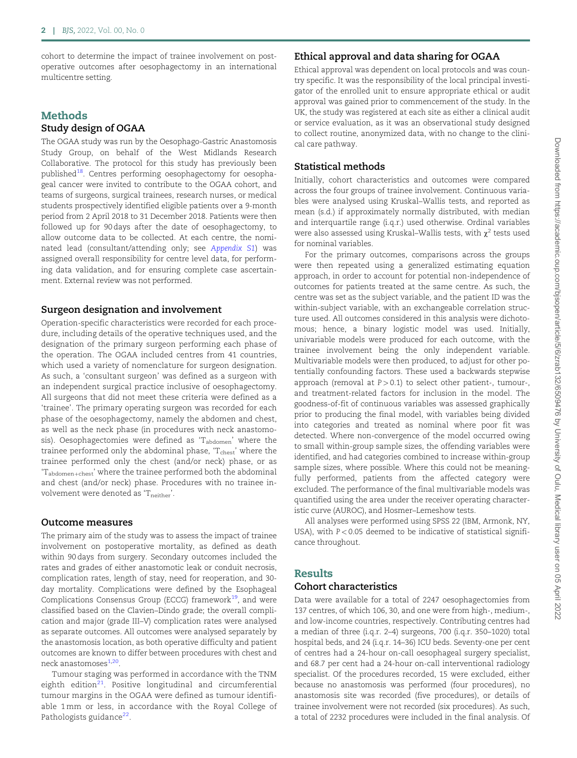<span id="page-1-0"></span>cohort to determine the impact of trainee involvement on postoperative outcomes after oesophagectomy in an international multicentre setting.

### **Methods**

## Study design of OGAA

The OGAA study was run by the Oesophago-Gastric Anastomosis Study Group, on behalf of the West Midlands Research Collaborative. The protocol for this study has previously been published<sup>18</sup>. Centres performing oesophagectomy for oesophageal cancer were invited to contribute to the OGAA cohort, and teams of surgeons, surgical trainees, research nurses, or medical students prospectively identified eligible patients over a 9-month period from 2 April 2018 to 31 December 2018. Patients were then followed up for 90 days after the date of oesophagectomy, to allow outcome data to be collected. At each centre, the nominated lead (consultant/attending only; see [Appendix S1](https://academic.oup.com/bjsopen/article-lookup/doi/10.1093/bjsopen/zrab132#supplementary-data)) was assigned overall responsibility for centre level data, for performing data validation, and for ensuring complete case ascertainment. External review was not performed.

### Surgeon designation and involvement

Operation-specific characteristics were recorded for each procedure, including details of the operative techniques used, and the designation of the primary surgeon performing each phase of the operation. The OGAA included centres from 41 countries, which used a variety of nomenclature for surgeon designation. As such, a 'consultant surgeon' was defined as a surgeon with an independent surgical practice inclusive of oesophagectomy. All surgeons that did not meet these criteria were defined as a 'trainee'. The primary operating surgeon was recorded for each phase of the oesophagectomy, namely the abdomen and chest, as well as the neck phase (in procedures with neck anastomosis). Oesophagectomies were defined as 'T<sub>abdomen</sub>' where the trainee performed only the abdominal phase, 'Tchest' where the trainee performed only the chest (and/or neck) phase, or as 'T<sub>abdomen+chest</sub>' where the trainee performed both the abdominal and chest (and/or neck) phase. Procedures with no trainee involvement were denoted as 'Tneither'.

### Outcome measures

The primary aim of the study was to assess the impact of trainee involvement on postoperative mortality, as defined as death within 90 days from surgery. Secondary outcomes included the rates and grades of either anastomotic leak or conduit necrosis, complication rates, length of stay, need for reoperation, and 30 day mortality. Complications were defined by the Esophageal Complications Consensus Group (ECCG) framework $^{19}$  $^{19}$  $^{19}$ , and were classified based on the Clavien–Dindo grade; the overall complication and major (grade III–V) complication rates were analysed as separate outcomes. All outcomes were analysed separately by the anastomosis location, as both operative difficulty and patient outcomes are known to differ between procedures with chest and neck anastomoses<sup>[1](#page-10-0),[20](#page-11-0)</sup>.

Tumour staging was performed in accordance with the TNM eighth edition $21$ . Positive longitudinal and circumferential tumour margins in the OGAA were defined as tumour identifiable 1 mm or less, in accordance with the Royal College of Pathologists guidance $^{22}$  $^{22}$  $^{22}$ .

# Ethical approval and data sharing for OGAA

Ethical approval was dependent on local protocols and was country specific. It was the responsibility of the local principal investigator of the enrolled unit to ensure appropriate ethical or audit approval was gained prior to commencement of the study. In the UK, the study was registered at each site as either a clinical audit or service evaluation, as it was an observational study designed to collect routine, anonymized data, with no change to the clinical care pathway.

### Statistical methods

Initially, cohort characteristics and outcomes were compared across the four groups of trainee involvement. Continuous variables were analysed using Kruskal–Wallis tests, and reported as mean (s.d.) if approximately normally distributed, with median and interquartile range (i.q.r.) used otherwise. Ordinal variables were also assessed using Kruskal–Wallis tests, with  $\chi^2$  tests used for nominal variables.

For the primary outcomes, comparisons across the groups were then repeated using a generalized estimating equation approach, in order to account for potential non-independence of outcomes for patients treated at the same centre. As such, the centre was set as the subject variable, and the patient ID was the within-subject variable, with an exchangeable correlation structure used. All outcomes considered in this analysis were dichotomous; hence, a binary logistic model was used. Initially, univariable models were produced for each outcome, with the trainee involvement being the only independent variable. Multivariable models were then produced, to adjust for other potentially confounding factors. These used a backwards stepwise approach (removal at  $P > 0.1$ ) to select other patient-, tumour-, and treatment-related factors for inclusion in the model. The goodness-of-fit of continuous variables was assessed graphically prior to producing the final model, with variables being divided into categories and treated as nominal where poor fit was detected. Where non-convergence of the model occurred owing to small within-group sample sizes, the offending variables were identified, and had categories combined to increase within-group sample sizes, where possible. Where this could not be meaningfully performed, patients from the affected category were excluded. The performance of the final multivariable models was quantified using the area under the receiver operating characteristic curve (AUROC), and Hosmer–Lemeshow tests.

All analyses were performed using SPSS 22 (IBM, Armonk, NY, USA), with  $P < 0.05$  deemed to be indicative of statistical significance throughout.

# Results

## Cohort characteristics

Data were available for a total of 2247 oesophagectomies from 137 centres, of which 106, 30, and one were from high-, medium-, and low-income countries, respectively. Contributing centres had a median of three (i.q.r. 2–4) surgeons, 700 (i.q.r. 350–1020) total hospital beds, and 24 (i.q.r. 14–36) ICU beds. Seventy-one per cent of centres had a 24-hour on-call oesophageal surgery specialist, and 68.7 per cent had a 24-hour on-call interventional radiology specialist. Of the procedures recorded, 15 were excluded, either because no anastomosis was performed (four procedures), no anastomosis site was recorded (five procedures), or details of trainee involvement were not recorded (six procedures). As such, a total of 2232 procedures were included in the final analysis. Of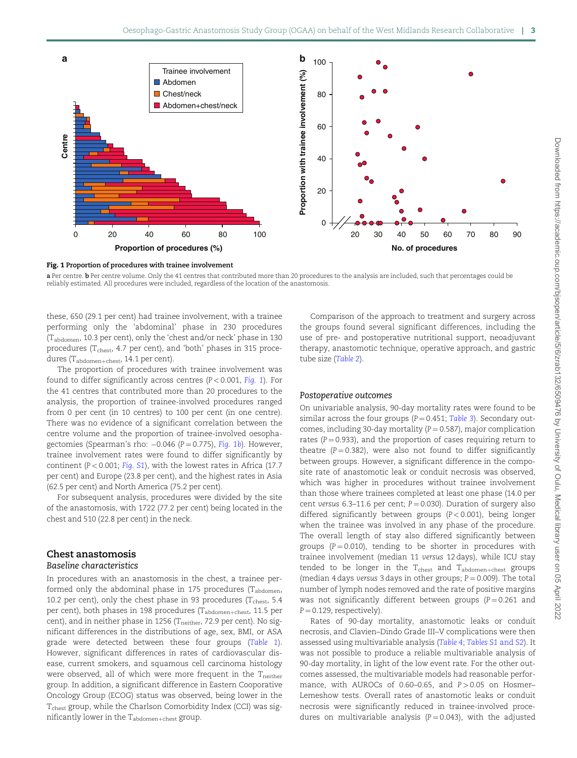

Fig. 1 Proportion of procedures with trainee involvement

a Per centre. b Per centre volume. Only the 41 centres that contributed more than 20 procedures to the analysis are included, such that percentages could be reliably estimated. All procedures were included, regardless of the location of the anastomosis.

these, 650 (29.1 per cent) had trainee involvement, with a trainee performing only the 'abdominal' phase in 230 procedures (Tabdomen, 10.3 per cent), only the 'chest and/or neck' phase in 130 procedures ( $T_{\text{chest}}$ , 4.7 per cent), and 'both' phases in 315 procedures ( $T_{\text{abdomen+check}}$ , 14.1 per cent).

The proportion of procedures with trainee involvement was found to differ significantly across centres  $(P < 0.001, Fiq.$  1). For the 41 centres that contributed more than 20 procedures to the analysis, the proportion of trainee-involved procedures ranged from 0 per cent (in 10 centres) to 100 per cent (in one centre). There was no evidence of a significant correlation between the centre volume and the proportion of trainee-involved oesophagectomies (Spearman's rho: –0.046 (P=0.775), Fig. 1b). However, trainee involvement rates were found to differ significantly by continent ( $P < 0.001$ ; [Fig. S1](https://academic.oup.com/bjsopen/article-lookup/doi/10.1093/bjsopen/zrab132#supplementary-data)), with the lowest rates in Africa (17.7) per cent) and Europe (23.8 per cent), and the highest rates in Asia (62.5 per cent) and North America (75.2 per cent).

For subsequent analysis, procedures were divided by the site of the anastomosis, with 1722 (77.2 per cent) being located in the chest and 510 (22.8 per cent) in the neck.

# Chest anastomosis

### Baseline characteristics

In procedures with an anastomosis in the chest, a trainee performed only the abdominal phase in 175 procedures  $(T_{\text{abdomen}},$ 10.2 per cent), only the chest phase in 93 procedures ( $T_{\text{check}}$ , 5.4 per cent), both phases in 198 procedures (Tabdomen+chest, 11.5 per cent), and in neither phase in 1256 ( $T_{\text{neither}}$ , 72.9 per cent). No significant differences in the distributions of age, sex, BMI, or ASA grade were detected between these four groups ([Table 1](#page-3-0)). However, significant differences in rates of cardiovascular disease, current smokers, and squamous cell carcinoma histology were observed, all of which were more frequent in the  $T_{neither}$ group. In addition, a significant difference in Eastern Cooporative Oncology Group (ECOG) status was observed, being lower in the T<sub>chest</sub> group, while the Charlson Comorbidity Index (CCI) was significantly lower in the  $T_{\rm{abdomen+chest}}$  group.

Comparison of the approach to treatment and surgery across the groups found several significant differences, including the use of pre- and postoperative nutritional support, neoadjuvant therapy, anastomotic technique, operative approach, and gastric tube size ([Table 2](#page-4-0)).

### Postoperative outcomes

On univariable analysis, 90-day mortality rates were found to be similar across the four groups ( $P = 0.451$ ; [Table 3](#page-4-0)). Secondary outcomes, including 30-day mortality ( $P = 0.587$ ), major complication rates ( $P = 0.933$ ), and the proportion of cases requiring return to theatre ( $P = 0.382$ ), were also not found to differ significantly between groups. However, a significant difference in the composite rate of anastomotic leak or conduit necrosis was observed, which was higher in procedures without trainee involvement than those where trainees completed at least one phase (14.0 per cent versus 6.3-11.6 per cent;  $P = 0.030$ ). Duration of surgery also differed significantly between groups (P < 0.001), being longer when the trainee was involved in any phase of the procedure. The overall length of stay also differed significantly between groups ( $P = 0.010$ ), tending to be shorter in procedures with trainee involvement (median 11 versus 12 days), while ICU stay tended to be longer in the  $T_{\text{check}}$  and  $T_{\text{abdomen+check}}$  groups (median 4 days versus 3 days in other groups;  $P = 0.009$ ). The total number of lymph nodes removed and the rate of positive margins was not significantly different between groups ( $P = 0.261$  and  $P = 0.129$ , respectively).

Rates of 90-day mortality, anastomotic leaks or conduit necrosis, and Clavien–Dindo Grade III–V complications were then assessed using multivariable analysis ([Table 4](#page-5-0); [Tables S1](https://academic.oup.com/bjsopen/article-lookup/doi/10.1093/bjsopen/zrab132#supplementary-data) and S2). It was not possible to produce a reliable multivariable analysis of 90-day mortality, in light of the low event rate. For the other outcomes assessed, the multivariable models had reasonable performance, with AUROCs of 0.60-0.65, and  $P > 0.05$  on Hosmer-Lemeshow tests. Overall rates of anastomotic leaks or conduit necrosis were significantly reduced in trainee-involved procedures on multivariable analysis ( $P = 0.043$ ), with the adjusted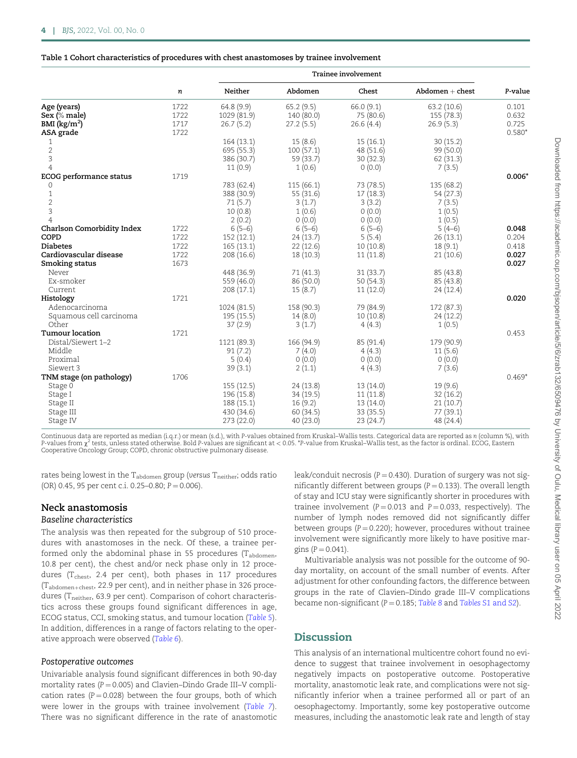### <span id="page-3-0"></span>Table 1 Cohort characteristics of procedures with chest anastomoses by trainee involvement

|                                   |      | <b>Trainee involvement</b> |            |           |                   |          |  |
|-----------------------------------|------|----------------------------|------------|-----------|-------------------|----------|--|
|                                   | n    | Neither                    | Abdomen    | Chest     | $Abdomen + chest$ | P-value  |  |
| Age (years)                       | 1722 | 64.8 (9.9)                 | 65.2(9.5)  | 66.0(9.1) | 63.2 (10.6)       | 0.101    |  |
| Sex (% male)                      | 1722 | 1029 (81.9)                | 140 (80.0) | 75 (80.6) | 155 (78.3)        | 0.632    |  |
| $BMI$ (kg/m <sup>2</sup> )        | 1717 | 26.7(5.2)                  | 27.2(5.5)  | 26.6(4.4) | 26.9(5.3)         | 0.725    |  |
| ASA grade                         | 1722 |                            |            |           |                   | $0.580*$ |  |
| 1                                 |      | 164(13.1)                  | 15(8.6)    | 15(16.1)  | 30(15.2)          |          |  |
| $\overline{2}$                    |      | 695 (55.3)                 | 100(57.1)  | 48 (51.6) | 99 (50.0)         |          |  |
| 3                                 |      | 386 (30.7)                 | 59 (33.7)  | 30(32.3)  | 62 (31.3)         |          |  |
| $\overline{4}$                    |      | 11(0.9)                    | 1(0.6)     | 0(0.0)    | 7(3.5)            |          |  |
| <b>ECOG</b> performance status    | 1719 |                            |            |           |                   | $0.006*$ |  |
| 0                                 |      | 783 (62.4)                 | 115(66.1)  | 73 (78.5) | 135 (68.2)        |          |  |
| $\mathbf{1}$                      |      | 388 (30.9)                 | 55 (31.6)  | 17(18.3)  | 54 (27.3)         |          |  |
| $\overline{2}$                    |      |                            |            |           |                   |          |  |
|                                   |      | 71(5.7)                    | 3(1.7)     | 3(3.2)    | 7(3.5)            |          |  |
| 3                                 |      | 10(0.8)                    | 1(0.6)     | 0(0.0)    | 1(0.5)            |          |  |
| $\overline{4}$                    |      | 2(0.2)                     | 0(0.0)     | 0(0.0)    | 1(0.5)            |          |  |
| <b>Charlson Comorbidity Index</b> | 1722 | $6(5-6)$                   | $6(5-6)$   | $6(5-6)$  | $5(4-6)$          | 0.048    |  |
| COPD                              | 1722 | 152(12.1)                  | 24(13.7)   | 5(5.4)    | 26(13.1)          | 0.204    |  |
| <b>Diabetes</b>                   | 1722 | 165(13.1)                  | 22(12.6)   | 10(10.8)  | 18(9.1)           | 0.418    |  |
| Cardiovascular disease            | 1722 | 208(16.6)                  | 18(10.3)   | 11(11.8)  | 21(10.6)          | 0.027    |  |
| Smoking status                    | 1673 |                            |            |           |                   | 0.027    |  |
| Never                             |      | 448 (36.9)                 | 71(41.3)   | 31(33.7)  | 85 (43.8)         |          |  |
| Ex-smoker                         |      | 559 (46.0)                 | 86 (50.0)  | 50(54.3)  | 85 (43.8)         |          |  |
| Current                           |      | 208 (17.1)                 | 15(8.7)    | 11(12.0)  | 24 (12.4)         |          |  |
| Histology                         | 1721 |                            |            |           |                   | 0.020    |  |
| Adenocarcinoma                    |      | 1024 (81.5)                | 158 (90.3) | 79 (84.9) | 172 (87.3)        |          |  |
| Squamous cell carcinoma           |      | 195(15.5)                  | 14(8.0)    | 10(10.8)  | 24(12.2)          |          |  |
| Other                             |      | 37(2.9)                    | 3(1.7)     | 4(4.3)    | 1(0.5)            |          |  |
| <b>Tumour location</b>            | 1721 |                            |            |           |                   | 0.453    |  |
| Distal/Siewert 1-2                |      | 1121 (89.3)                | 166 (94.9) | 85 (91.4) | 179 (90.9)        |          |  |
| Middle                            |      | 91(7.2)                    | 7(4.0)     | 4(4.3)    | 11(5.6)           |          |  |
| Proximal                          |      | 5(0.4)                     | 0(0.0)     | 0(0.0)    | 0(0.0)            |          |  |
| Siewert 3                         |      | 39(3.1)                    | 2(1.1)     | 4(4.3)    | 7(3.6)            |          |  |
|                                   | 1706 |                            |            |           |                   | $0.469*$ |  |
| TNM stage (on pathology)          |      |                            |            |           |                   |          |  |
| Stage 0                           |      | 155(12.5)                  | 24 (13.8)  | 13 (14.0) | 19(9.6)           |          |  |
| Stage I                           |      | 196 (15.8)                 | 34(19.5)   | 11(11.8)  | 32(16.2)          |          |  |
| Stage II                          |      | 188(15.1)                  | 16(9.2)    | 13 (14.0) | 21(10.7)          |          |  |
| Stage III                         |      | 430 (34.6)                 | 60(34.5)   | 33 (35.5) | 77 (39.1)         |          |  |
| Stage IV                          |      | 273(22.0)                  | 40(23.0)   | 23 (24.7) | 48 (24.4)         |          |  |

Continuous data are reported as median (i.q.r.) or mean (s.d.), with P-values obtained from Kruskal–Wallis tests. Categorical data are reported as n (column %), with<br>P-values from x² tests, unless stated otherwise. Bold P-Cooperative Oncology Group; COPD, chronic obstructive pulmonary disease.

rates being lowest in the  $T_{\rm{abdomen}}$  group (versus  $T_{\rm{neither}}$ ; odds ratio (OR) 0.45, 95 per cent c.i. 0.25-0.80;  $P = 0.006$ ).

# Neck anastomosis

# Baseline characteristics

The analysis was then repeated for the subgroup of 510 procedures with anastomoses in the neck. Of these, a trainee performed only the abdominal phase in 55 procedures (Tabdomen, 10.8 per cent), the chest and/or neck phase only in 12 procedures ( $T_{\text{check}}$ , 2.4 per cent), both phases in 117 procedures  $(T_{\text{abdomen+check}}, 22.9 \text{ per cent})$ , and in neither phase in 326 procedures (T<sub>neither</sub>, 63.9 per cent). Comparison of cohort characteristics across these groups found significant differences in age, ECOG status, CCI, smoking status, and tumour location ([Table 5](#page-5-0)). In addition, differences in a range of factors relating to the operative approach were observed ([Table 6](#page-6-0)).

### Postoperative outcomes

Univariable analysis found significant differences in both 90-day mortality rates ( $P = 0.005$ ) and Clavien–Dindo Grade III–V complication rates ( $P = 0.028$ ) between the four groups, both of which were lower in the groups with trainee involvement ([Table 7](#page-6-0)). There was no significant difference in the rate of anastomotic leak/conduit necrosis ( $P = 0.430$ ). Duration of surgery was not significantly different between groups ( $P = 0.133$ ). The overall length of stay and ICU stay were significantly shorter in procedures with trainee involvement ( $P = 0.013$  and  $P = 0.033$ , respectively). The number of lymph nodes removed did not significantly differ between groups  $(P = 0.220)$ ; however, procedures without trainee involvement were significantly more likely to have positive margins ( $P = 0.041$ ).

Multivariable analysis was not possible for the outcome of 90 day mortality, on account of the small number of events. After adjustment for other confounding factors, the difference between groups in the rate of Clavien–Dindo grade III–V complications became non-significant ( $P = 0.185$ ; [Table 8](#page-7-0) and [Tables S1](https://academic.oup.com/bjsopen/article-lookup/doi/10.1093/bjsopen/zrab132#supplementary-data) and S2).

# **Discussion**

This analysis of an international multicentre cohort found no evidence to suggest that trainee involvement in oesophagectomy negatively impacts on postoperative outcome. Postoperative mortality, anastomotic leak rate, and complications were not significantly inferior when a trainee performed all or part of an oesophagectomy. Importantly, some key postoperative outcome measures, including the anastomotic leak rate and length of stay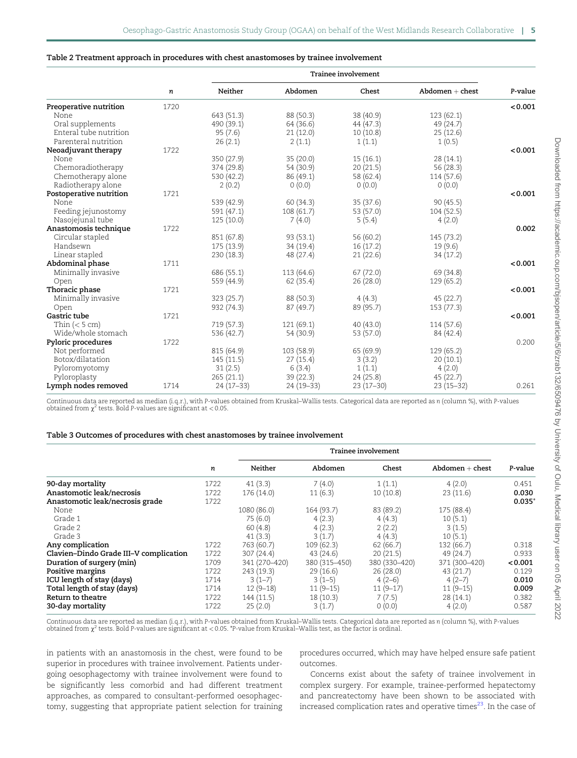#### <span id="page-4-0"></span>Table 2 Treatment approach in procedures with chest anastomoses by trainee involvement

|                         |      | <b>Trainee involvement</b> |            |             |                   |         |  |
|-------------------------|------|----------------------------|------------|-------------|-------------------|---------|--|
|                         | n    | Neither                    | Abdomen    | Chest       | $Abdomen + chest$ | P-value |  |
| Preoperative nutrition  | 1720 |                            |            |             |                   | < 0.001 |  |
| None                    |      | 643 (51.3)                 | 88 (50.3)  | 38 (40.9)   | 123(62.1)         |         |  |
| Oral supplements        |      | 490 (39.1)                 | 64 (36.6)  | 44(47.3)    | 49 (24.7)         |         |  |
| Enteral tube nutrition  |      | 95(7.6)                    | 21(12.0)   | 10(10.8)    | 25(12.6)          |         |  |
| Parenteral nutrition    |      | 26(2.1)                    | 2(1.1)     | 1(1.1)      | 1(0.5)            |         |  |
| Neoadjuvant therapy     | 1722 |                            |            |             |                   | < 0.001 |  |
| None                    |      | 350 (27.9)                 | 35(20.0)   | 15(16.1)    | 28(14.1)          |         |  |
| Chemoradiotherapy       |      | 374 (29.8)                 | 54 (30.9)  | 20(21.5)    | 56 (28.3)         |         |  |
| Chemotherapy alone      |      | 530 (42.2)                 | 86 (49.1)  | 58 (62.4)   | 114 (57.6)        |         |  |
| Radiotherapy alone      |      | 2(0.2)                     | 0(0.0)     | 0(0.0)      | 0(0.0)            |         |  |
| Postoperative nutrition | 1721 |                            |            |             |                   | < 0.001 |  |
| None                    |      | 539 (42.9)                 | 60 (34.3)  | 35(37.6)    | 90(45.5)          |         |  |
| Feeding jejunostomy     |      | 591 (47.1)                 | 108 (61.7) | 53 (57.0)   | 104 (52.5)        |         |  |
| Nasojejunal tube        |      | 125(10.0)                  | 7(4.0)     | 5(5.4)      | 4(2.0)            |         |  |
| Anastomosis technique   | 1722 |                            |            |             |                   | 0.002   |  |
| Circular stapled        |      | 851 (67.8)                 | 93 (53.1)  | 56 (60.2)   | 145 (73.2)        |         |  |
| Handsewn                |      | 175 (13.9)                 | 34(19.4)   | 16(17.2)    | 19(9.6)           |         |  |
| Linear stapled          |      | 230(18.3)                  | 48 (27.4)  | 21(22.6)    | 34(17.2)          |         |  |
| Abdominal phase         | 1711 |                            |            |             |                   | < 0.001 |  |
| Minimally invasive      |      | 686 (55.1)                 | 113 (64.6) | 67(72.0)    | 69 (34.8)         |         |  |
| Open                    |      | 559 (44.9)                 | 62(35.4)   | 26 (28.0)   | 129(65.2)         |         |  |
| Thoracic phase          | 1721 |                            |            |             |                   | < 0.001 |  |
| Minimally invasive      |      | 323(25.7)                  | 88 (50.3)  | 4(4.3)      | 45(22.7)          |         |  |
| Open                    |      | 932 (74.3)                 | 87(49.7)   | 89 (95.7)   | 153 (77.3)        |         |  |
| Gastric tube            | 1721 |                            |            |             |                   | < 0.001 |  |
| Thin $(< 5 cm)$         |      | 719 (57.3)                 | 121(69.1)  | 40(43.0)    | 114 (57.6)        |         |  |
| Wide/whole stomach      |      | 536 (42.7)                 | 54 (30.9)  | 53 (57.0)   | 84 (42.4)         |         |  |
| Pyloric procedures      | 1722 |                            |            |             |                   | 0.200   |  |
| Not performed           |      | 815 (64.9)                 | 103 (58.9) | 65 (69.9)   | 129(65.2)         |         |  |
| Botox/dilatation        |      | 145(11.5)                  | 27(15.4)   | 3(3.2)      | 20(10.1)          |         |  |
| Pyloromyotomy           |      | 31(2.5)                    | 6(3.4)     | 1(1.1)      | 4(2.0)            |         |  |
| Pyloroplasty            |      | 265(21.1)                  | 39(22.3)   | 24(25.8)    | 45(22.7)          |         |  |
| Lymph nodes removed     | 1714 | $24(17-33)$                | 24 (19-33) | $23(17-30)$ | $23(15-32)$       | 0.261   |  |
|                         |      |                            |            |             |                   |         |  |

Continuous data are reported as median (i.q.r.), with P-values obtained from Kruskal–Wallis tests. Categorical data are reported as n (column %), with P-values obtained from  $\chi^2$  tests. Bold P-values are significant at < 0.05

#### Table 3 Outcomes of procedures with chest anastomoses by trainee involvement

|                                        |      | Trainee involvement |               |               |                   |             |
|----------------------------------------|------|---------------------|---------------|---------------|-------------------|-------------|
|                                        | n    | Neither             | Abdomen       | Chest         | $Abdomen + chest$ | P-value     |
| 90-day mortality                       | 1722 | 41(3.3)             | 7(4.0)        | 1(1.1)        | 4(2.0)            | 0.451       |
| Anastomotic leak/necrosis              | 1722 | 176 (14.0)          | 11(6.3)       | 10(10.8)      | 23(11.6)          | 0.030       |
| Anastomotic leak/necrosis grade        | 1722 |                     |               |               |                   | $0.035^{*}$ |
| None                                   |      | 1080 (86.0)         | 164 (93.7)    | 83 (89.2)     | 175 (88.4)        |             |
| Grade 1                                |      | 75(6.0)             | 4(2.3)        | 4(4.3)        | 10(5.1)           |             |
| Grade 2                                |      | 60(4.8)             | 4(2.3)        | 2(2.2)        | 3(1.5)            |             |
| Grade 3                                |      | 41(3.3)             | 3(1.7)        | 4(4.3)        | 10(5.1)           |             |
| Any complication                       | 1722 | 763 (60.7)          | 109 (62.3)    | 62(66.7)      | 132 (66.7)        | 0.318       |
| Clavien-Dindo Grade III-V complication | 1722 | 307 (24.4)          | 43(24.6)      | 20(21.5)      | 49(24.7)          | 0.933       |
| Duration of surgery (min)              | 1709 | 341 (270-420)       | 380 (315-450) | 380 (330-420) | 371 (300-420)     | < 0.001     |
| Positive margins                       | 1722 | 243 (19.3)          | 29(16.6)      | 26(28.0)      | 43 (21.7)         | 0.129       |
| ICU length of stay (days)              | 1714 | $3(1-7)$            | $3(1-5)$      | $4(2-6)$      | $4(2-7)$          | 0.010       |
| Total length of stay (days)            | 1714 | $12(9-18)$          | $11(9-15)$    | $11(9-17)$    | $11(9-15)$        | 0.009       |
| Return to theatre                      | 1722 | 144 (11.5)          | 18(10.3)      | 7(7.5)        | 28(14.1)          | 0.382       |
| 30-day mortality                       | 1722 | 25(2.0)             | 3(1.7)        | 0(0.0)        | 4(2.0)            | 0.587       |

Continuous data are reported as median (i.q.r.), with P-values obtained from Kruskal–Wallis tests. Categorical data are reported as n (column %), with P-values obtained from  $\chi^2$  tests. Bold P-values are significant at < 0.05. \*P-value from Kruskal–Wallis test, as the factor is ordinal.

in patients with an anastomosis in the chest, were found to be superior in procedures with trainee involvement. Patients undergoing oesophagectomy with trainee involvement were found to be significantly less comorbid and had different treatment approaches, as compared to consultant-performed oesophagectomy, suggesting that appropriate patient selection for training procedures occurred, which may have helped ensure safe patient outcomes.

Concerns exist about the safety of trainee involvement in complex surgery. For example, trainee-performed hepatectomy and pancreatectomy have been shown to be associated with increased complication rates and operative times $23$ . In the case of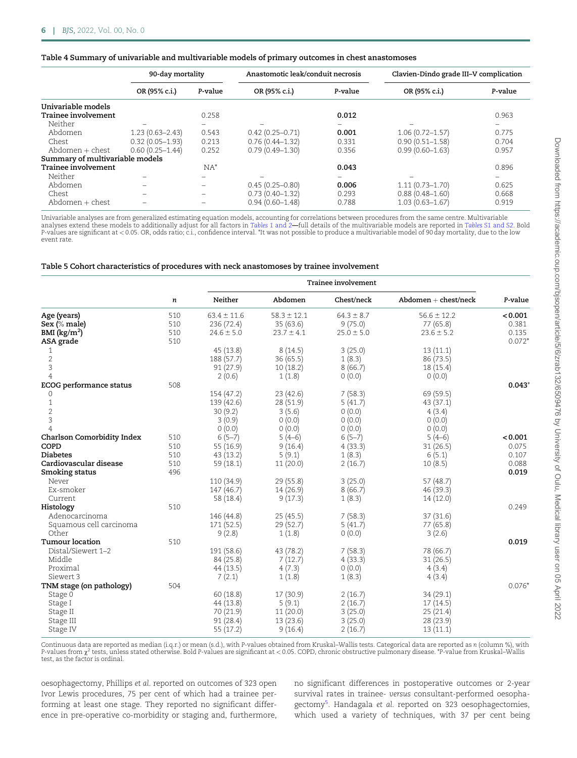### <span id="page-5-0"></span>Table 4 Summary of univariable and multivariable models of primary outcomes in chest anastomoses

|                                 | 90-day mortality    |         | Anastomotic leak/conduit necrosis |         | Clavien-Dindo grade III-V complication |         |
|---------------------------------|---------------------|---------|-----------------------------------|---------|----------------------------------------|---------|
|                                 | OR (95% c.i.)       | P-value | OR (95% c.i.)                     | P-value | OR (95% c.i.)                          | P-value |
| Univariable models              |                     |         |                                   |         |                                        |         |
| Trainee involvement             |                     | 0.258   |                                   | 0.012   |                                        | 0.963   |
| Neither                         |                     |         |                                   |         |                                        |         |
| Abdomen                         | $1.23(0.63 - 2.43)$ | 0.543   | $0.42(0.25 - 0.71)$               | 0.001   | $1.06(0.72 - 1.57)$                    | 0.775   |
| Chest                           | $0.32(0.05 - 1.93)$ | 0.213   | $0.76(0.44 - 1.32)$               | 0.331   | $0.90(0.51 - 1.58)$                    | 0.704   |
| Abdomen + chest                 | $0.60(0.25 - 1.44)$ | 0.252   | $0.79(0.49 - 1.30)$               | 0.356   | $0.99(0.60 - 1.63)$                    | 0.957   |
| Summary of multivariable models |                     |         |                                   |         |                                        |         |
| Trainee involvement             |                     | $NA^*$  |                                   | 0.043   |                                        | 0.896   |
| Neither                         |                     |         |                                   |         |                                        |         |
| Abdomen                         |                     |         | $0.45(0.25 - 0.80)$               | 0.006   | $1.11(0.73 - 1.70)$                    | 0.625   |
| Chest                           |                     |         | $0.73(0.40 - 1.32)$               | 0.293   | $0.88(0.48 - 1.60)$                    | 0.668   |
| $Abdomen + chest$               |                     |         | $0.94(0.60 - 1.48)$               | 0.788   | $1.03(0.63 - 1.67)$                    | 0.919   |

Univariable analyses are from generalized estimating equation models, accounting for correlations between procedures from the same centre. Multivariable<br>analyses extend these models to additionally adjust for all factors i P-values are significant at < 0.05. OR, odds ratio; c.i., confidence interval. \*It was not possible to produce a multivariable model of 90 day mortality, due to the low event rate.

### Table 5 Cohort characteristics of procedures with neck anastomoses by trainee involvement

|                                   |     | <b>Trainee involvement</b> |                 |                |                        |          |  |
|-----------------------------------|-----|----------------------------|-----------------|----------------|------------------------|----------|--|
|                                   | n   | Neither                    | Abdomen         | Chest/neck     | $Abdomen + chest/neck$ | P-value  |  |
| Age (years)                       | 510 | $63.4 \pm 11.6$            | $58.3 \pm 12.1$ | $64.3 \pm 8.7$ | $56.6 \pm 12.2$        | < 0.001  |  |
| Sex (% male)                      | 510 | 236 (72.4)                 | 35(63.6)        | 9(75.0)        | 77 (65.8)              | 0.381    |  |
| BMI $(kg/m^2)$                    | 510 | $24.6 \pm 5.0$             | $23.7 \pm 4.1$  | $25.0 \pm 5.0$ | $23.6 \pm 5.2$         | 0.135    |  |
| ASA grade                         | 510 |                            |                 |                |                        | $0.072*$ |  |
| 1                                 |     | 45 (13.8)                  | 8(14.5)         | 3(25.0)        | 13(11.1)               |          |  |
| $\overline{2}$                    |     | 188 (57.7)                 | 36(65.5)        | 1(8.3)         | 86 (73.5)              |          |  |
| $\mathbf{3}$                      |     | 91(27.9)                   | 10(18.2)        | 8(66.7)        | 18(15.4)               |          |  |
| $\overline{4}$                    |     | 2(0.6)                     | 1(1.8)          | 0(0.0)         | 0(0.0)                 |          |  |
| <b>ECOG</b> performance status    | 508 |                            |                 |                |                        | $0.043*$ |  |
| 0                                 |     | 154 (47.2)                 | 23(42.6)        | 7(58.3)        | 69 (59.5)              |          |  |
| 1                                 |     | 139 (42.6)                 | 28 (51.9)       | 5(41.7)        | 43(37.1)               |          |  |
| $\overline{2}$                    |     | 30(9.2)                    | 3(5.6)          | 0(0.0)         | 4(3.4)                 |          |  |
| $\ensuremath{\mathsf{3}}$         |     | 3(0.9)                     | 0(0.0)          | 0(0.0)         | 0(0.0)                 |          |  |
| $\overline{4}$                    |     | 0(0.0)                     | 0(0.0)          | 0(0.0)         | 0(0.0)                 |          |  |
| <b>Charlson Comorbidity Index</b> | 510 | $6(5-7)$                   | $5(4-6)$        | $6(5-7)$       | $5(4-6)$               | < 0.001  |  |
| COPD                              | 510 | 55 (16.9)                  | 9(16.4)         | 4(33.3)        | 31(26.5)               | 0.075    |  |
| <b>Diabetes</b>                   | 510 | 43 (13.2)                  | 5(9.1)          | 1(8.3)         | 6(5.1)                 | 0.107    |  |
| Cardiovascular disease            | 510 | 59(18.1)                   | 11(20.0)        | 2(16.7)        | 10(8.5)                | 0.088    |  |
| Smoking status                    | 496 |                            |                 |                |                        | 0.019    |  |
| Never                             |     | 110 (34.9)                 | 29 (55.8)       | 3(25.0)        | 57(48.7)               |          |  |
| Ex-smoker                         |     | 147(46.7)                  | 14 (26.9)       | 8(66.7)        | 46 (39.3)              |          |  |
| Current                           |     | 58 (18.4)                  | 9(17.3)         | 1(8.3)         | 14(12.0)               |          |  |
| Histology                         | 510 |                            |                 |                |                        | 0.249    |  |
| Adenocarcinoma                    |     | 146 (44.8)                 | 25(45.5)        | 7(58.3)        | 37(31.6)               |          |  |
| Squamous cell carcinoma           |     | 171(52.5)                  | 29 (52.7)       | 5(41.7)        | 77 (65.8)              |          |  |
| Other                             |     | 9(2.8)                     | 1(1.8)          | 0(0.0)         | 3(2.6)                 |          |  |
| Tumour location                   | 510 |                            |                 |                |                        | 0.019    |  |
| Distal/Siewert 1–2                |     | 191 (58.6)                 | 43 (78.2)       | 7(58.3)        | 78 (66.7)              |          |  |
| Middle                            |     | 84 (25.8)                  | 7(12.7)         | 4(33.3)        | 31(26.5)               |          |  |
| Proximal                          |     | 44 (13.5)                  | 4(7.3)          | 0(0.0)         | 4(3.4)                 |          |  |
| Siewert 3                         |     | 7(2.1)                     | 1(1.8)          | 1(8.3)         | 4(3.4)                 |          |  |
| TNM stage (on pathology)          | 504 |                            |                 |                |                        | $0.076*$ |  |
| Stage 0                           |     | 60(18.8)                   | 17 (30.9)       | 2(16.7)        | 34(29.1)               |          |  |
| Stage I                           |     | 44 (13.8)                  | 5(9.1)          | 2(16.7)        | 17(14.5)               |          |  |
| Stage II                          |     | 70 (21.9)                  | 11(20.0)        | 3(25.0)        | 25(21.4)               |          |  |
| Stage III                         |     | 91(28.4)                   | 13 (23.6)       | 3(25.0)        | 28 (23.9)              |          |  |
| Stage IV                          |     | 55(17.2)                   | 9(16.4)         | 2(16.7)        | 13(11.1)               |          |  |

Continuous data are reported as median (i.q.r.) or mean (s.d.), with P-values obtained from Kruskal–Wallis tests. Categorical data are reported as n (column %), with P-values from  $\chi^2$  tests, unless stated otherwise. Bold P-values are significant at <0.05. COPD, chronic obstructive pulmonary disease. \*P-value from Kruskal–Wallis test, as the factor is ordinal.

oesophagectomy, Phillips et al. reported on outcomes of 323 open Ivor Lewis procedures, 75 per cent of which had a trainee performing at least one stage. They reported no significant difference in pre-operative co-morbidity or staging and, furthermore, no significant differences in postoperative outcomes or 2-year survival rates in trainee- versus consultant-performed oesopha-gectomy<sup>[5](#page-10-0)</sup>. Handagala et al. reported on 323 oesophagectomies, which used a variety of techniques, with 37 per cent being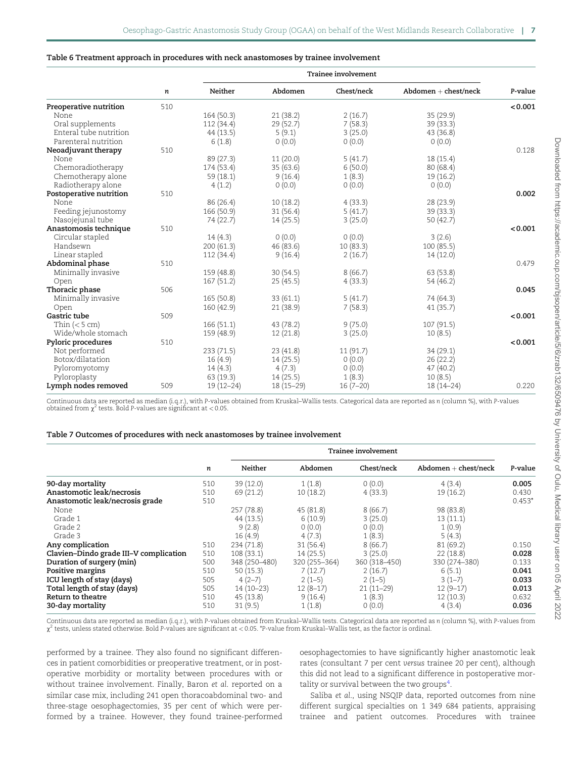#### <span id="page-6-0"></span>Table 6 Treatment approach in procedures with neck anastomoses by trainee involvement

|                         |     | Trainee involvement |             |            |                        |         |
|-------------------------|-----|---------------------|-------------|------------|------------------------|---------|
|                         | n   | Neither             | Abdomen     | Chest/neck | $Abdomen + chest/neck$ | P-value |
| Preoperative nutrition  | 510 |                     |             |            |                        | < 0.001 |
| None                    |     | 164(50.3)           | 21(38.2)    | 2(16.7)    | 35 (29.9)              |         |
| Oral supplements        |     | 112 (34.4)          | 29(52.7)    | 7(58.3)    | 39 (33.3)              |         |
| Enteral tube nutrition  |     | 44 (13.5)           | 5(9.1)      | 3(25.0)    | 43 (36.8)              |         |
| Parenteral nutrition    |     | 6(1.8)              | 0(0.0)      | 0(0.0)     | 0(0.0)                 |         |
| Neoadjuvant therapy     | 510 |                     |             |            |                        | 0.128   |
| None                    |     | 89 (27.3)           | 11(20.0)    | 5(41.7)    | 18(15.4)               |         |
| Chemoradiotherapy       |     | 174 (53.4)          | 35(63.6)    | 6(50.0)    | 80(68.4)               |         |
| Chemotherapy alone      |     | 59(18.1)            | 9(16.4)     | 1(8.3)     | 19(16.2)               |         |
| Radiotherapy alone      |     | 4(1.2)              | 0(0.0)      | 0(0.0)     | 0(0.0)                 |         |
| Postoperative nutrition | 510 |                     |             |            |                        | 0.002   |
| None                    |     | 86 (26.4)           | 10(18.2)    | 4(33.3)    | 28 (23.9)              |         |
| Feeding jejunostomy     |     | 166 (50.9)          | 31(56.4)    | 5(41.7)    | 39 (33.3)              |         |
| Nasojejunal tube        |     | 74 (22.7)           | 14(25.5)    | 3(25.0)    | 50(42.7)               |         |
| Anastomosis technique   | 510 |                     |             |            |                        | < 0.001 |
| Circular stapled        |     | 14(4.3)             | 0(0.0)      | 0(0.0)     | 3(2.6)                 |         |
| Handsewn                |     | 200(61.3)           | 46 (83.6)   | 10(83.3)   | 100(85.5)              |         |
| Linear stapled          |     | 112 (34.4)          | 9(16.4)     | 2(16.7)    | 14(12.0)               |         |
| Abdominal phase         | 510 |                     |             |            |                        | 0.479   |
| Minimally invasive      |     | 159 (48.8)          | 30(54.5)    | 8(66.7)    | 63 (53.8)              |         |
| Open                    |     | 167(51.2)           | 25(45.5)    | 4(33.3)    | 54 (46.2)              |         |
| Thoracic phase          | 506 |                     |             |            |                        | 0.045   |
| Minimally invasive      |     | 165 (50.8)          | 33(61.1)    | 5(41.7)    | 74 (64.3)              |         |
| Open                    |     | 160 (42.9)          | 21(38.9)    | 7(58.3)    | 41(35.7)               |         |
| Gastric tube            | 509 |                     |             |            |                        | < 0.001 |
| Thin $(< 5 cm)$         |     | 166(51.1)           | 43 (78.2)   | 9(75.0)    | 107(91.5)              |         |
| Wide/whole stomach      |     | 159 (48.9)          | 12(21.8)    | 3(25.0)    | 10(8.5)                |         |
| Pyloric procedures      | 510 |                     |             |            |                        | < 0.001 |
| Not performed           |     | 233 (71.5)          | 23(41.8)    | 11(91.7)   | 34(29.1)               |         |
| Botox/dilatation        |     | 16(4.9)             | 14(25.5)    | 0(0.0)     | 26(22.2)               |         |
| Pyloromyotomy           |     | 14(4.3)             | 4(7.3)      | 0(0.0)     | 47(40.2)               |         |
| Pyloroplasty            |     | 63(19.3)            | 14(25.5)    | 1(8.3)     | 10(8.5)                |         |
| Lymph nodes removed     | 509 | $19(12-24)$         | $18(15-29)$ | $16(7-20)$ | $18(14 - 24)$          | 0.220   |
|                         |     |                     |             |            |                        |         |

Continuous data are reported as median (i.q.r.), with P-values obtained from Kruskal–Wallis tests. Categorical data are reported as n (column %), with P-values obtained from  $\chi^2$  tests. Bold P-values are significant at < 0.05

#### Table 7 Outcomes of procedures with neck anastomoses by trainee involvement

|                                        |     | Trainee involvement |               |               |                        |          |
|----------------------------------------|-----|---------------------|---------------|---------------|------------------------|----------|
|                                        | n   | Neither             | Abdomen       | Chest/neck    | $Abdomen + chest/neck$ | P-value  |
| 90-day mortality                       | 510 | 39 (12.0)           | 1(1.8)        | 0(0.0)        | 4(3.4)                 | 0.005    |
| Anastomotic leak/necrosis              | 510 | 69 (21.2)           | 10(18.2)      | 4(33.3)       | 19(16.2)               | 0.430    |
| Anastomotic leak/necrosis grade        | 510 |                     |               |               |                        | $0.453*$ |
| None                                   |     | 257 (78.8)          | 45 (81.8)     | 8(66.7)       | 98 (83.8)              |          |
| Grade 1                                |     | 44(13.5)            | 6(10.9)       | 3(25.0)       | 13(11.1)               |          |
| Grade 2                                |     | 9(2.8)              | 0(0.0)        | 0(0.0)        | 1(0.9)                 |          |
| Grade 3                                |     | 16(4.9)             | 4(7.3)        | 1(8.3)        | 5(4.3)                 |          |
| Any complication                       | 510 | 234 (71.8)          | 31(56.4)      | 8(66.7)       | 81(69.2)               | 0.150    |
| Clavien-Dindo grade III-V complication | 510 | 108(33.1)           | 14(25.5)      | 3(25.0)       | 22(18.8)               | 0.028    |
| Duration of surgery (min)              | 500 | 348 (250-480)       | 320 (255-364) | 360 (318-450) | 330 (274-380)          | 0.133    |
| Positive margins                       | 510 | 50(15.3)            | 7(12.7)       | 2(16.7)       | 6(5.1)                 | 0.041    |
| ICU length of stay (days)              | 505 | $4(2-7)$            | $2(1-5)$      | $2(1-5)$      | $3(1-7)$               | 0.033    |
| Total length of stay (days)            | 505 | $14(10-23)$         | $12(8-17)$    | $21(11-29)$   | $12(9-17)$             | 0.013    |
| Return to theatre                      | 510 | 45 (13.8)           | 9(16.4)       | 1(8.3)        | 12(10.3)               | 0.632    |
| 30-day mortality                       | 510 | 31(9.5)             | 1(1.8)        | 0(0.0)        | 4(3.4)                 | 0.036    |

Continuous data are reported as median (i.q.r.), with P-values obtained from Kruskal–Wallis tests. Categorical data are reported as n (column %), with P-values from  $\chi^2$  tests, unless stated otherwise. Bold P-values are significant at < 0.05. \*P-value from Kruskal–Wallis test, as the factor is ordinal.

performed by a trainee. They also found no significant differences in patient comorbidities or preoperative treatment, or in postoperative morbidity or mortality between procedures with or without trainee involvement. Finally, Baron et al. reported on a similar case mix, including 241 open thoracoabdominal two- and three-stage oesophagectomies, 35 per cent of which were performed by a trainee. However, they found trainee-performed oesophagectomies to have significantly higher anastomotic leak rates (consultant 7 per cent versus trainee 20 per cent), although this did not lead to a significant difference in postoperative mor-tality or survival between the two groups<sup>[4](#page-10-0)</sup>.

Saliba et al., using NSQIP data, reported outcomes from nine different surgical specialties on 1 349 684 patients, appraising trainee and patient outcomes. Procedures with trainee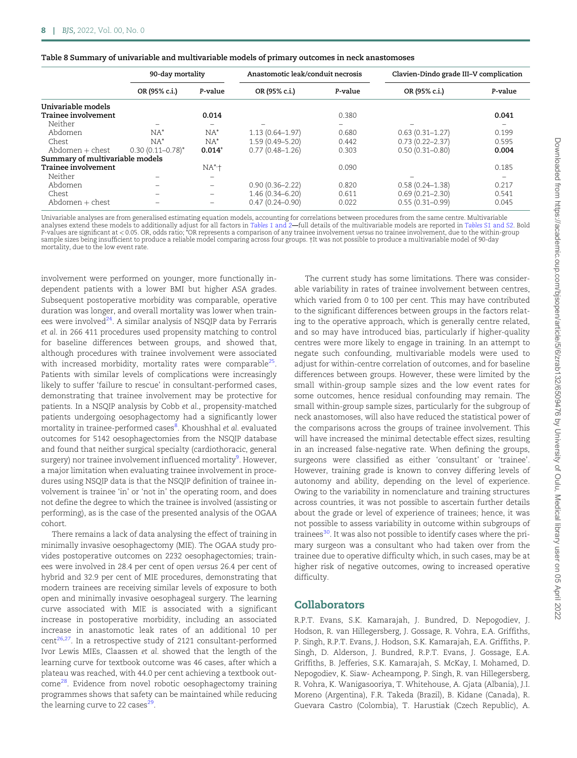<span id="page-7-0"></span>

| Table 8 Summary of univariable and multivariable models of primary outcomes in neck anastomoses |  |  |  |  |  |
|-------------------------------------------------------------------------------------------------|--|--|--|--|--|
|-------------------------------------------------------------------------------------------------|--|--|--|--|--|

|                                 | 90-day mortality      |                          |                     | Anastomotic leak/conduit necrosis |                     | Clavien-Dindo grade III-V complication |  |
|---------------------------------|-----------------------|--------------------------|---------------------|-----------------------------------|---------------------|----------------------------------------|--|
|                                 | OR (95% c.i.)         | P-value                  | OR (95% c.i.)       | P-value                           | OR (95% c.i.)       | P-value                                |  |
| Univariable models              |                       |                          |                     |                                   |                     |                                        |  |
| Trainee involvement             |                       | 0.014                    |                     | 0.380                             |                     | 0.041                                  |  |
| Neither                         |                       |                          |                     |                                   |                     |                                        |  |
| Abdomen                         | $NA^*$                | $NA^*$                   | $1.13(0.64 - 1.97)$ | 0.680                             | $0.63(0.31 - 1.27)$ | 0.199                                  |  |
| Chest                           | $NA^*$                | $NA^*$                   | $1.59(0.49 - 5.20)$ | 0.442                             | $0.73(0.22 - 2.37)$ | 0.595                                  |  |
| $Abdomen + chest$               | $0.30(0.11 - 0.78)^*$ | $0.014*$                 | $0.77(0.48 - 1.26)$ | 0.303                             | $0.50(0.31 - 0.80)$ | 0.004                                  |  |
| Summary of multivariable models |                       |                          |                     |                                   |                     |                                        |  |
| Trainee involvement             |                       | $NA^*$                   |                     | 0.090                             |                     | 0.185                                  |  |
| Neither                         |                       |                          |                     |                                   |                     |                                        |  |
| Abdomen                         |                       | $\qquad \qquad -$        | $0.90(0.36 - 2.22)$ | 0.820                             | $0.58(0.24 - 1.38)$ | 0.217                                  |  |
| Chest                           |                       | $\overline{\phantom{0}}$ | $1.46(0.34 - 6.20)$ | 0.611                             | $0.69(0.21 - 2.30)$ | 0.541                                  |  |
| $Abdomen + chest$               |                       | -                        | $0.47(0.24 - 0.90)$ | 0.022                             | $0.55(0.31 - 0.99)$ | 0.045                                  |  |

Univariable analyses are from generalised estimating equation models, accounting for correlations between procedures from the same centre. Multivariable analyses extend these models to additionally adjust for all factors in [Tables 1](#page-3-0) and 2—full details of the multivariable models are reported in [Tables S1](https://academic.oup.com/bjsopen/article-lookup/doi/10.1093/bjsopen/zrab132#supplementary-data) and S2. Bold P-values are significant at < 0.05. OR, odds ratio; \*OR represents a comparison of any trainee involvement versus no trainee involvement, due to the within-group sample sizes being insufficient to produce a reliable model comparing across four groups. †It was not possible to produce a multivariable model of 90-day mortality, due to the low event rate.

involvement were performed on younger, more functionally independent patients with a lower BMI but higher ASA grades. Subsequent postoperative morbidity was comparable, operative duration was longer, and overall mortality was lower when trainees were involved $24$ . A similar analysis of NSQIP data by Ferraris et al. in 266 411 procedures used propensity matching to control for baseline differences between groups, and showed that, although procedures with trainee involvement were associated with increased morbidity, mortality rates were comparable<sup>25</sup>. Patients with similar levels of complications were increasingly likely to suffer 'failure to rescue' in consultant-performed cases, demonstrating that trainee involvement may be protective for patients. In a NSQIP analysis by Cobb et al., propensity-matched patients undergoing oesophagectomy had a significantly lower mortality in trainee-performed cases<sup>[8](#page-10-0)</sup>. Khoushhal *et al.* evaluated outcomes for 5142 oesophagectomies from the NSQIP database and found that neither surgical specialty (cardiothoracic, general surgery) nor trainee involvement influenced mortality<sup>[9](#page-10-0)</sup>. However, a major limitation when evaluating trainee involvement in procedures using NSQIP data is that the NSQIP definition of trainee involvement is trainee 'in' or 'not in' the operating room, and does not define the degree to which the trainee is involved (assisting or performing), as is the case of the presented analysis of the OGAA cohort.

There remains a lack of data analysing the effect of training in minimally invasive oesophagectomy (MIE). The OGAA study provides postoperative outcomes on 2232 oesophagectomies; trainees were involved in 28.4 per cent of open versus 26.4 per cent of hybrid and 32.9 per cent of MIE procedures, demonstrating that modern trainees are receiving similar levels of exposure to both open and minimally invasive oesophageal surgery. The learning curve associated with MIE is associated with a significant increase in postoperative morbidity, including an associated increase in anastomotic leak rates of an additional 10 per cent<sup>[26](#page-11-0),[27](#page-11-0)</sup>. In a retrospective study of 2121 consultant-performed Ivor Lewis MIEs, Claassen et al. showed that the length of the learning curve for textbook outcome was 46 cases, after which a plateau was reached, with 44.0 per cent achieving a textbook outcome[28](#page-11-0). Evidence from novel robotic oesophagectomy training programmes shows that safety can be maintained while reducing the learning curve to 22 cases $^{29}$ .

The current study has some limitations. There was considerable variability in rates of trainee involvement between centres, which varied from 0 to 100 per cent. This may have contributed to the significant differences between groups in the factors relating to the operative approach, which is generally centre related, and so may have introduced bias, particularly if higher-quality centres were more likely to engage in training. In an attempt to negate such confounding, multivariable models were used to adjust for within-centre correlation of outcomes, and for baseline differences between groups. However, these were limited by the small within-group sample sizes and the low event rates for some outcomes, hence residual confounding may remain. The small within-group sample sizes, particularly for the subgroup of neck anastomoses, will also have reduced the statistical power of the comparisons across the groups of trainee involvement. This will have increased the minimal detectable effect sizes, resulting in an increased false-negative rate. When defining the groups, surgeons were classified as either 'consultant' or 'trainee'. However, training grade is known to convey differing levels of autonomy and ability, depending on the level of experience. Owing to the variability in nomenclature and training structures across countries, it was not possible to ascertain further details about the grade or level of experience of trainees; hence, it was not possible to assess variability in outcome within subgroups of trainees<sup>[30](#page-11-0)</sup>. It was also not possible to identify cases where the primary surgeon was a consultant who had taken over from the trainee due to operative difficulty which, in such cases, may be at higher risk of negative outcomes, owing to increased operative difficulty.

# Collaborators

R.P.T. Evans, S.K. Kamarajah, J. Bundred, D. Nepogodiev, J. Hodson, R. van Hillegersberg, J. Gossage, R. Vohra, E.A. Griffiths, P. Singh, R.P.T. Evans, J. Hodson, S.K. Kamarajah, E.A. Griffiths, P. Singh, D. Alderson, J. Bundred, R.P.T. Evans, J. Gossage, E.A. Griffiths, B. Jefferies, S.K. Kamarajah, S. McKay, I. Mohamed, D. Nepogodiev, K. Siaw- Acheampong, P. Singh, R. van Hillegersberg, R. Vohra, K. Wanigasooriya, T. Whitehouse, A. Gjata (Albania), J.I. Moreno (Argentina), F.R. Takeda (Brazil), B. Kidane (Canada), R. Guevara Castro (Colombia), T. Harustiak (Czech Republic), A.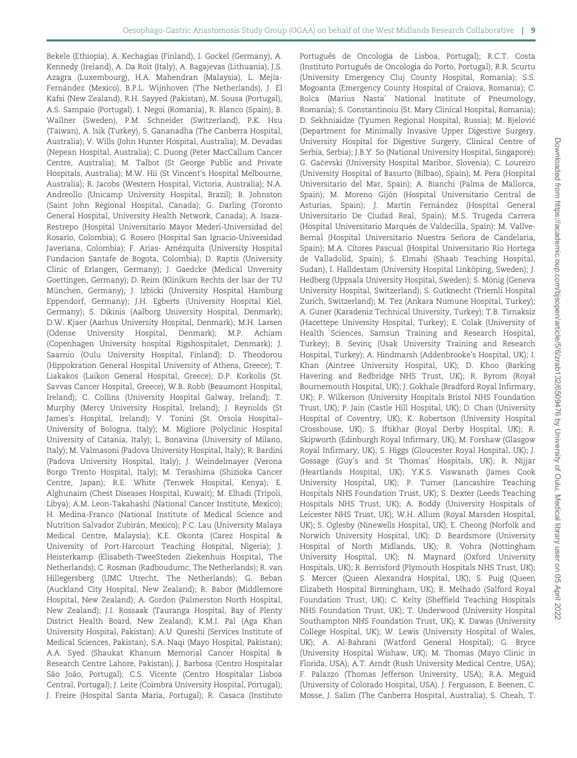Bekele (Ethiopia), A. Kechagias (Finland), I. Gockel (Germany), A. Kennedy (Ireland), A. Da Roit (Italy), A. Bagajevas (Lithuania), J.S. Azagra (Luxembourg), H.A. Mahendran (Malaysia), L. Mejía-Fernández (Mexico), B.P.L. Wijnhoven (The Netherlands), J. El Kafsi (New Zealand), R.H. Sayyed (Pakistan), M. Sousa (Portugal), A.S. Sampaio (Portugal), I. Negoi (Romania), R. Blanco (Spain), B. Wallner (Sweden), P.M. Schneider (Switzerland), P.K. Hsu (Taiwan), A. Isik (Turkey), S. Gananadha (The Canberra Hospital, Australia); V. Wills (John Hunter Hospital, Australia); M. Devadas (Nepean Hospital, Australia); C. Duong (Peter MacCallum Cancer Centre, Australia); M. Talbot (St George Public and Private Hospitals, Australia); M.W. Hii (St Vincent's Hospital Melbourne, Australia); R. Jacobs (Western Hospital, Victoria, Australia); N.A. Andreollo (Unicamp University Hospital, Brazil); B. Johnston (Saint John Regional Hospital, Canada); G. Darling (Toronto General Hospital, University Health Network, Canada); A. Isaza-Restrepo (Hospital Universitario Mayor Mederi-Universidad del Rosario, Colombia); G. Rosero (Hospital San Ignacio-Universidad Javeriana, Colombia); F. Arias- Amézquita (University Hospital Fundacion Santafe de Bogota, Colombia); D. Raptis (University Clinic of Erlangen, Germany); J. Gaedcke (Medical Unversity Goettingen, Germany); D. Reim (Klinikum Rechts der Isar der TU München, Germany); J. Izbicki (University Hospital Hamburg Eppendorf, Germany); J.H. Egberts (University Hospital Kiel, Germany); S. Dikinis (Aalborg University Hospital, Denmark); D.W. Kjaer (Aarhus University Hospital, Denmark); M.H. Larsen (Odense University Hospital, Denmark); M.P. Achiam (Copenhagen University hospital Rigshospitalet, Denmark); J. Saarnio (Oulu University Hospital, Finland); D. Theodorou (Hippokration General Hospital University of Athens, Greece); T. Liakakos (Laikon General Hospital, Greece); D.P. Korkolis (St. Savvas Cancer Hospital, Greece); W.B. Robb (Beaumont Hospital, Ireland); C. Collins (University Hospital Galway, Ireland); T. Murphy (Mercy University Hospital, Ireland); J. Reynolds (St James's Hospital, Ireland); V. Tonini (St. Orsola Hospital– University of Bologna, Italy); M. Migliore (Polyclinic Hospital University of Catania, Italy); L. Bonavina (University of Milano, Italy); M. Valmasoni (Padova University Hospital, Italy); R. Bardini (Padova University Hospital, Italy); J. Weindelmayer (Verona Borgo Trento Hospital, Italy); M. Terashima (Shizioka Cancer Centre, Japan); R.E. White (Tenwek Hospital, Kenya); E. Alghunaim (Chest Diseases Hospital, Kuwait); M. Elhadi (Tripoli, Libya); A.M. Leon-Takahashi (National Cancer Institute, Mexico); H. Medina-Franco (National Institute of Medical Science and Nutrition Salvador Zubirán, Mexico); P.C. Lau (University Malaya Medical Centre, Malaysia); K.E. Okonta (Carez Hospital & University of Port-Harcourt Teaching Hospital, Nigeria); J. Heisterkamp (Elisabeth-TweeSteden Ziekenhuis Hospital, The Netherlands); C. Rosman (Radboudumc, The Netherlands); R. van Hillegersberg (UMC Utrecht, The Netherlands); G. Beban (Auckland City Hospital, New Zealand); R. Babor (Middlemore Hospital, New Zealand); A. Gordon (Palmerston North Hospital, New Zealand); J.I. Rossaak (Tauranga Hospital, Bay of Plenty District Health Board, New Zealand); K.M.I. Pal (Aga Khan University Hospital, Pakistan); A.U. Qureshi (Services Institute of Medical Sciences, Pakistan); S.A. Naqi (Mayo Hospital, Pakistan); A.A. Syed (Shaukat Khanum Memorial Cancer Hospital & Research Centre Lahore, Pakistan); J. Barbosa (Centro Hospitalar São João, Portugal); C.S. Vicente (Centro Hospitalar Lisboa Central, Portugal); J. Leite (Coimbra University Hospital, Portugal); J. Freire (Hospital Santa Maria, Portugal); R. Casaca (Instituto

Português de Oncologia de Lisboa, Portugal); R.C.T. Costa (Instituto Português de Oncologia do Porto, Portugal); R.R. Scurtu (University Emergency Cluj County Hospital, Romania); S.S. Mogoanta (Emergency County Hospital of Craiova, Romania); C. Bolca (Marius Nasta' National Institute of Pneumology, Romania); S. Constantinoiu (St. Mary Clinical Hospital, Romania); D. Sekhniaidze (Tyumen Regional Hospital, Russia); M. Bjelovic- (Department for Minimally Invasive Upper Digestive Surgery, University Hospital for Digestive Surgery, Clinical Centre of Serbia, Serbia); J.B.Y. So (National University Hospital, Singapore); G. Gacevski (University Hospital Maribor, Slovenia); C. Loureiro (University Hospital of Basurto (Bilbao), Spain); M. Pera (Hospital Universitario del Mar, Spain); A. Bianchi (Palma de Mallorca, Spain); M. Moreno Gijón (Hospital Universitario Central de Asturias, Spain); J. Martín Fernández (Hospital General Universitario De Ciudad Real, Spain); M.S. Trugeda Carrera (Hospital Universitario Marqués de Valdecilla, Spain); M. Vallve-Bernal (Hospital Universitario Nuestra Señora de Candelaria, Spain); M.A. Cítores Pascual (Hospital Universitario Río Hortega de Valladolid, Spain); S. Elmahi (Shaab Teaching Hospital, Sudan), I. Halldestam (University Hospital Linköping, Sweden); J. Hedberg (Uppsala University Hospital, Sweden); S. Mönig (Geneva University Hospital, Switzerland); S. Gutknecht (Triemli Hospital Zurich, Switzerland); M. Tez (Ankara Numune Hospital, Turkey); A. Guner (Karadeniz Technical University, Turkey); T.B. Tirnaksiz (Hacettepe University Hospital, Turkey); E. Colak (University of Health Sciences, Samsun Training and Research Hospital, Turkey); B. Sevinc¸ (Usak University Training and Research Hospital, Turkey); A. Hindmarsh (Addenbrooke's Hospital, UK); I. Khan (Aintree University Hospital, UK); D. Khoo (Barking Havering and Redbridge NHS Trust, UK); R. Byrom (Royal Bournemouth Hospital, UK); J. Gokhale (Bradford Royal Infirmary, UK); P. Wilkerson (University Hospitals Bristol NHS Foundation Trust, UK); P. Jain (Castle Hill Hospital, UK); D. Chan (University Hospital of Coventry, UK); K. Robertson (University Hospital Crosshouse, UK); S. Iftikhar (Royal Derby Hospital, UK); R. Skipworth (Edinburgh Royal Infirmary, UK); M. Forshaw (Glasgow Royal Infirmary, UK); S. Higgs (Gloucester Royal Hospital, UK); J. Gossage (Guy's and St Thomas' Hospitals, UK); R. Nijjar (Heartlands Hospital, UK); Y.K.S. Viswanath (James Cook University Hospital, UK); P. Turner (Lancashire Teaching Hospitals NHS Foundation Trust, UK); S. Dexter (Leeds Teaching Hospitals NHS Trust, UK); A. Boddy (University Hospitals of Leicester NHS Trust, UK); W.H. Allum (Royal Marsden Hospital, UK); S. Oglesby (Ninewells Hospital, UK); E. Cheong (Norfolk and Norwich University Hospital, UK); D. Beardsmore (University Hospital of North Midlands, UK); R. Vohra (Nottingham University Hospital, UK); N. Maynard (Oxford University Hospitals, UK); R. Berrisford (Plymouth Hospitals NHS Trust, UK); S. Mercer (Queen Alexandra Hospital, UK); S. Puig (Queen Elizabeth Hospital Birmingham, UK); R. Melhado (Salford Royal Foundation Trust, UK); C. Kelty (Sheffield Teaching Hospitals NHS Foundation Trust, UK); T. Underwood (University Hospital Southampton NHS Foundation Trust, UK); K. Dawas (University College Hospital, UK); W. Lewis (University Hospital of Wales, UK); A. Al-Bahrani (Watford General Hospital); G. Bryce (University Hospital Wishaw, UK); M. Thomas (Mayo Clinic in Florida, USA); A.T. Arndt (Rush University Medical Centre, USA); F. Palazzo (Thomas Jefferson University, USA); R.A. Meguid (University of Colorado Hospital, USA). J. Fergusson, E. Beenen, C. Mosse, J. Salim (The Canberra Hospital, Australia); S. Cheah, T.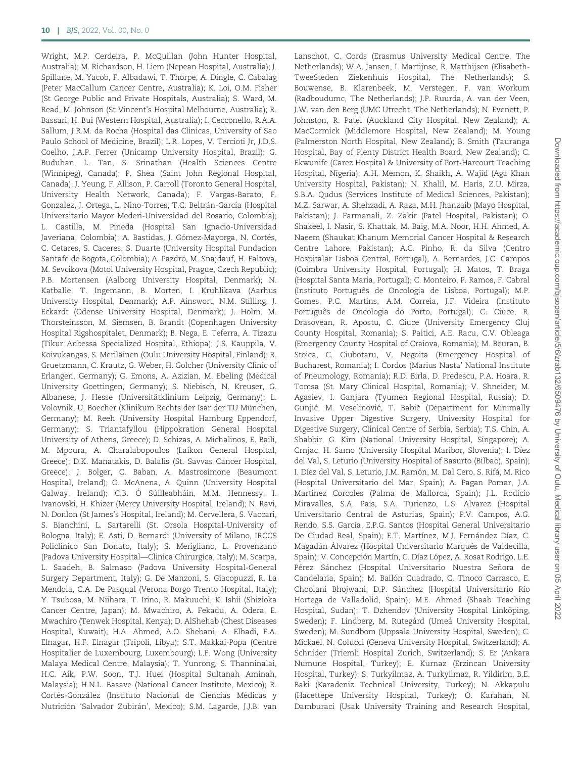Wright, M.P. Cerdeira, P. McQuillan (John Hunter Hospital, Australia); M. Richardson, H. Liem (Nepean Hospital, Australia); J. Spillane, M. Yacob, F. Albadawi, T. Thorpe, A. Dingle, C. Cabalag (Peter MacCallum Cancer Centre, Australia); K. Loi, O.M. Fisher (St George Public and Private Hospitals, Australia); S. Ward, M. Read, M. Johnson (St Vincent's Hospital Melbourne, Australia); R. Bassari, H. Bui (Western Hospital, Australia); I. Cecconello, R.A.A. Sallum, J.R.M. da Rocha (Hospital das Clinicas, University of Sao Paulo School of Medicine, Brazil); L.R. Lopes, V. Tercioti Jr, J.D.S. Coelho, J.A.P. Ferrer (Unicamp University Hospital, Brazil); G. Buduhan, L. Tan, S. Srinathan (Health Sciences Centre (Winnipeg), Canada); P. Shea (Saint John Regional Hospital, Canada); J. Yeung, F. Allison, P. Carroll (Toronto General Hospital, University Health Network, Canada); F. Vargas-Barato, F. Gonzalez, J. Ortega, L. Nino-Torres, T.C. Beltrán-García (Hospital Universitario Mayor Mederi-Universidad del Rosario, Colombia); L. Castilla, M. Pineda (Hospital San Ignacio-Universidad Javeriana, Colombia); A. Bastidas, J. Gómez-Mayorga, N. Cortés, C. Cetares, S. Caceres, S. Duarte (University Hospital Fundacion Santafe de Bogota, Colombia); A. Pazdro, M. Snajdauf, H. Faltova, M. Sevcikova (Motol University Hospital, Prague, Czech Republic); P.B. Mortensen (Aalborg University Hospital, Denmark); N. Katballe, T. Ingemann, B. Morten, I. Kruhlikava (Aarhus University Hospital, Denmark); A.P. Ainswort, N.M. Stilling, J. Eckardt (Odense University Hospital, Denmark); J. Holm, M. Thorsteinsson, M. Siemsen, B. Brandt (Copenhagen University Hospital Rigshospitalet, Denmark); B. Nega, E. Teferra, A. Tizazu (Tikur Anbessa Specialized Hospital, Ethiopa); J.S. Kauppila, V. Koivukangas, S. Meriläinen (Oulu University Hospital, Finland); R. Gruetzmann, C. Krautz, G. Weber, H. Golcher (University Clinic of Erlangen, Germany); G. Emons, A. Azizian, M. Ebeling (Medical University Goettingen, Germany); S. Niebisch, N. Kreuser, G. Albanese, J. Hesse (Universitätklinium Leipzig, Germany); L. Volovnik, U. Boecher (Klinikum Rechts der Isar der TU München, Germany); M. Reeh (University Hospital Hamburg Eppendorf, Germany); S. Triantafyllou (Hippokration General Hospital University of Athens, Greece); D. Schizas, A. Michalinos, E. Baili, M. Mpoura, A. Charalabopoulos (Laikon General Hospital, Greece); D.K. Manatakis, D. Balalis (St. Savvas Cancer Hospital, Greece); J. Bolger, C. Baban, A. Mastrosimone (Beaumont Hospital, Ireland); O. McAnena, A. Quinn (University Hospital Galway, Ireland); C.B. Ó Súilleabháin, M.M. Hennessy, I. Ivanovski, H. Khizer (Mercy University Hospital, Ireland); N. Ravi, N. Donlon (St James's Hospital, Ireland); M. Cervellera, S. Vaccari, S. Bianchini, L. Sartarelli (St. Orsola Hospital-University of Bologna, Italy); E. Asti, D. Bernardi (University of Milano, IRCCS Policlinico San Donato, Italy); S. Merigliano, L. Provenzano (Padova University Hospital—Clinica Chirurgica, Italy); M. Scarpa, L. Saadeh, B. Salmaso (Padova University Hospital-General Surgery Department, Italy); G. De Manzoni, S. Giacopuzzi, R. La Mendola, C.A. De Pasqual (Verona Borgo Trento Hospital, Italy); Y. Tsubosa, M. Niihara, T. Irino, R. Makuuchi, K. Ishii (Shizioka Cancer Centre, Japan); M. Mwachiro, A. Fekadu, A. Odera, E. Mwachiro (Tenwek Hospital, Kenya); D. AlShehab (Chest Diseases Hospital, Kuwait); H.A. Ahmed, A.O. Shebani, A. Elhadi, F.A. Elnagar, H.F. Elnagar (Tripoli, Libya); S.T. Makkai-Popa (Centre Hospitalier de Luxembourg, Luxembourg); L.F. Wong (University Malaya Medical Centre, Malaysia); T. Yunrong, S. Thanninalai, H.C. Aik, P.W. Soon, T.J. Huei (Hospital Sultanah Aminah, Malaysia); H.N.L. Basave (National Cancer Institute, Mexico); R. Cortés-González (Instituto Nacional de Ciencias Médicas y Nutrición 'Salvador Zubirán', Mexico); S.M. Lagarde, J.J.B. van

Lanschot, C. Cords (Erasmus University Medical Centre, The Netherlands); W.A. Jansen, I. Martijnse, R. Matthijsen (Elisabeth-TweeSteden Ziekenhuis Hospital, The Netherlands); S. Bouwense, B. Klarenbeek, M. Verstegen, F. van Workum (Radboudumc, The Netherlands); J.P. Ruurda, A. van der Veen, J.W. van den Berg (UMC Utrecht, The Netherlands); N. Evenett, P. Johnston, R. Patel (Auckland City Hospital, New Zealand); A. MacCormick (Middlemore Hospital, New Zealand); M. Young (Palmerston North Hospital, New Zealand); B. Smith (Tauranga Hospital, Bay of Plenty District Health Board, New Zealand); C. Ekwunife (Carez Hospital & University of Port-Harcourt Teaching Hospital, Nigeria); A.H. Memon, K. Shaikh, A. Wajid (Aga Khan University Hospital, Pakistan); N. Khalil, M. Haris, Z.U. Mirza, S.B.A. Qudus (Services Institute of Medical Sciences, Pakistan); M.Z. Sarwar, A. Shehzadi, A. Raza, M.H. Jhanzaib (Mayo Hospital, Pakistan); J. Farmanali, Z. Zakir (Patel Hospital, Pakistan); O. Shakeel, I. Nasir, S. Khattak, M. Baig, M.A. Noor, H.H. Ahmed, A. Naeem (Shaukat Khanum Memorial Cancer Hospital & Research Centre Lahore, Pakistan); A.C. Pinho, R. da Silva (Centro Hospitalar Lisboa Central, Portugal), A. Bernardes, J.C. Campos (Coimbra University Hospital, Portugal); H. Matos, T. Braga (Hospital Santa Maria, Portugal); C. Monteiro, P. Ramos, F. Cabral (Instituto Português de Oncologia de Lisboa, Portugal); M.P. Gomes, P.C. Martins, A.M. Correia, J.F. Videira (Instituto Português de Oncologia do Porto, Portugal); C. Ciuce, R. Drasovean, R. Apostu, C. Ciuce (University Emergency Cluj County Hospital, Romania); S. Paitici, A.E. Racu, C.V. Obleaga (Emergency County Hospital of Craiova, Romania); M. Beuran, B. Stoica, C. Ciubotaru, V. Negoita (Emergency Hospital of Bucharest, Romania); I. Cordos (Marius Nasta' National Institute of Pneumology, Romania); R.D. Birla, D. Predescu, P.A. Hoara, R. Tomsa (St. Mary Clinical Hospital, Romania); V. Shneider, M. Agasiev, I. Ganjara (Tyumen Regional Hospital, Russia); D. Gunjić, M. Veselinović, T. Babič (Department for Minimally Invasive Upper Digestive Surgery, University Hospital for Digestive Surgery, Clinical Centre of Serbia, Serbia); T.S. Chin, A. Shabbir, G. Kim (National University Hospital, Singapore); A. Crnjac, H. Samo (University Hospital Maribor, Slovenia); I. Díez del Val, S. Leturio (University Hospital of Basurto (Bilbao), Spain); I. Díez del Val, S. Leturio, J.M. Ramón, M. Dal Cero, S. Rifá, M. Rico (Hospital Universitario del Mar, Spain); A. Pagan Pomar, J.A. Martinez Corcoles (Palma de Mallorca, Spain); J.L. Rodicio Miravalles, S.A. Pais, S.A. Turienzo, L.S. Alvarez (Hospital Universitario Central de Asturias, Spain); P.V. Campos, A.G. Rendo, S.S. García, E.P.G. Santos (Hospital General Universitario De Ciudad Real, Spain); E.T. Martínez, M.J. Fernández Díaz, C. Magadán Álvarez (Hospital Universitario Marqués de Valdecilla, Spain); V. Concepción Martín, C. Díaz López, A. Rosat Rodrigo, L.E. Pérez Sánchez (Hospital Universitario Nuestra Señora de Candelaria, Spain); M. Bailón Cuadrado, C. Tinoco Carrasco, E. Choolani Bhojwani, D.P. Sánchez (Hospital Universitario Río Hortega de Valladolid, Spain); M.E. Ahmed (Shaab Teaching Hospital, Sudan); T. Dzhendov (University Hospital Linköping, Sweden); F. Lindberg, M. Rutegård (Umeå University Hospital, Sweden); M. Sundbom (Uppsala University Hospital, Sweden); C. Mickael, N. Colucci (Geneva University Hospital, Switzerland); A. Schnider (Triemli Hospital Zurich, Switzerland); S. Er (Ankara Numune Hospital, Turkey); E. Kurnaz (Erzincan University Hospital, Turkey); S. Turkyilmaz, A. Turkyilmaz, R. Yildirim, B.E. Baki (Karadeniz Technical University, Turkey); N. Akkapulu (Hacettepe University Hospital, Turkey); O. Karahan, N. Damburaci (Usak University Training and Research Hospital,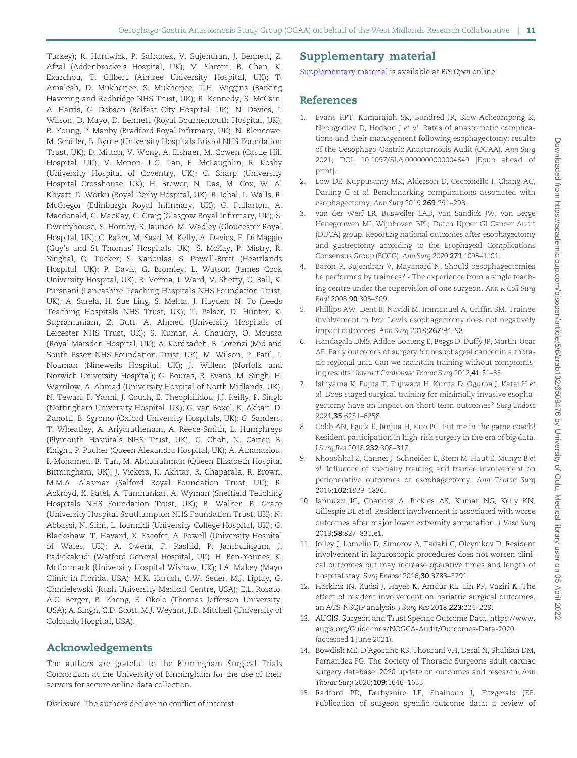<span id="page-10-0"></span>Turkey); R. Hardwick, P. Safranek, V. Sujendran, J. Bennett, Z. Afzal (Addenbrooke's Hospital, UK); M. Shrotri, B. Chan, K. Exarchou, T. Gilbert (Aintree University Hospital, UK); T. Amalesh, D. Mukherjee, S. Mukherjee, T.H. Wiggins (Barking Havering and Redbridge NHS Trust, UK); R. Kennedy, S. McCain, A. Harris, G. Dobson (Belfast City Hospital, UK); N. Davies, I. Wilson, D. Mayo, D. Bennett (Royal Bournemouth Hospital, UK); R. Young, P. Manby (Bradford Royal Infirmary, UK); N. Blencowe, M. Schiller, B. Byrne (University Hospitals Bristol NHS Foundation Trust, UK); D. Mitton, V. Wong, A. Elshaer, M. Cowen (Castle Hill Hospital, UK); V. Menon, L.C. Tan, E. McLaughlin, R. Koshy (University Hospital of Coventry, UK); C. Sharp (University Hospital Crosshouse, UK); H. Brewer, N. Das, M. Cox, W. Al Khyatt, D. Worku (Royal Derby Hospital, UK); R. Iqbal, L. Walls, R. McGregor (Edinburgh Royal Infirmary, UK); G. Fullarton, A. Macdonald, C. MacKay, C. Craig (Glasgow Royal Infirmary, UK); S. Dwerryhouse, S. Hornby, S. Jaunoo, M. Wadley (Gloucester Royal Hospital, UK); C. Baker, M. Saad, M. Kelly, A. Davies, F. Di Maggio (Guy's and St Thomas' Hospitals, UK); S. McKay, P. Mistry, R. Singhal, O. Tucker, S. Kapoulas, S. Powell-Brett (Heartlands Hospital, UK); P. Davis, G. Bromley, L. Watson (James Cook University Hospital, UK); R. Verma, J. Ward, V. Shetty, C. Ball, K. Pursnani (Lancashire Teaching Hospitals NHS Foundation Trust, UK); A. Sarela, H. Sue Ling, S. Mehta, J. Hayden, N. To (Leeds Teaching Hospitals NHS Trust, UK); T. Palser, D. Hunter, K. Supramaniam, Z. Butt, A. Ahmed (University Hospitals of Leicester NHS Trust, UK); S. Kumar, A. Chaudry, O. Moussa (Royal Marsden Hospital, UK); A. Kordzadeh, B. Lorenzi (Mid and South Essex NHS Foundation Trust, UK). M. Wilson, P. Patil, I. Noaman (Ninewells Hospital, UK); J. Willem (Norfolk and Norwich University Hospital); G. Bouras, R. Evans, M. Singh, H. Warrilow, A. Ahmad (University Hospital of North Midlands, UK); N. Tewari, F. Yanni, J. Couch, E. Theophilidou, J.J. Reilly, P. Singh (Nottingham University Hospital, UK); G. van Boxel, K. Akbari, D. Zanotti, B. Sgromo (Oxford University Hospitals, UK); G. Sanders, T. Wheatley, A. Ariyarathenam, A. Reece-Smith, L. Humphreys (Plymouth Hospitals NHS Trust, UK); C. Choh, N. Carter, B. Knight, P. Pucher (Queen Alexandra Hospital, UK); A. Athanasiou, I. Mohamed, B. Tan, M. Abdulrahman (Queen Elizabeth Hospital Birmingham, UK); J. Vickers, K. Akhtar, R. Chaparala, R. Brown, M.M.A. Alasmar (Salford Royal Foundation Trust, UK); R. Ackroyd, K. Patel, A. Tamhankar, A. Wyman (Sheffield Teaching Hospitals NHS Foundation Trust, UK); R. Walker, B. Grace (University Hospital Southampton NHS Foundation Trust, UK); N. Abbassi, N. Slim, L. Ioannidi (University College Hospital, UK); G. Blackshaw, T. Havard, X. Escofet, A. Powell (University Hospital of Wales, UK); A. Owera, F. Rashid, P. Jambulingam, J. Padickakudi (Watford General Hospital, UK); H. Ben-Younes, K. McCormack (University Hospital Wishaw, UK); I.A. Makey (Mayo Clinic in Florida, USA); M.K. Karush, C.W. Seder, M.J. Liptay, G. Chmielewski (Rush University Medical Centre, USA); E.L. Rosato, A.C. Berger, R. Zheng, E. Okolo (Thomas Jefferson University, USA); A. Singh, C.D. Scott, M.J. Weyant, J.D. Mitchell (University of Colorado Hospital, USA).

# Acknowledgements

The authors are grateful to the Birmingham Surgical Trials Consortium at the University of Birmingham for the use of their servers for secure online data collection.

Disclosure. The authors declare no conflict of interest.

# Supplementary material

[Supplementary material](https://academic.oup.com/bjsopen/article-lookup/doi/10.1093/bjsopen/zrab132#supplementary-data) is available at BJS Open online.

# References

- [1.](#page-0-0) Evans RPT, Kamarajah SK, Bundred JR, Siaw-Acheampong K, Nepogodiev D, Hodson J et al. Rates of anastomotic complications and their management following esophagectomy: results of the Oesophago-Gastric Anastomosis Audit (OGAA). Ann Surg 2021; DOI: 10.1097/SLA.0000000000004649 [Epub ahead of print].
- 2. Low DE, Kuppusamy MK, Alderson D, Cecconello I, Chang AC, Darling G et al. Benchmarking complications associated with esophagectomy. Ann Surg 2019;269:291–298.
- 3. van der Werf LR, Busweiler LAD, van Sandick JW, van Berge Henegouwen MI, Wijnhoven BPL; Dutch Upper GI Cancer Audit (DUCA) group. Reporting national outcomes after esophagectomy and gastrectomy according to the Esophageal Complications Consensus Group (ECCG). Ann Surg 2020;271:1095–1101.
- [4.](#page-6-0) Baron R, Sujendran V, Mayanard N. Should oesophagectomies be performed by trainees? - The experience from a single teaching centre under the supervision of one surgeon. Ann R Coll Surg Engl 2008;90:305–309.
- [5.](#page-5-0) Phillips AW, Dent B, Navidi M, Immanuel A, Griffin SM. Trainee involvement in Ivor Lewis esophagectomy does not negatively impact outcomes. Ann Surg 2018;267:94–98.
- 6. Handagala DMS, Addae-Boateng E, Beggs D, Duffy JP, Martin-Ucar AE. Early outcomes of surgery for oesophageal cancer in a thoracic regional unit. Can we maintain training without compromising results? Interact Cardiovasc Thorac Surg 2012;41:31–35.
- 7. Ishiyama K, Fujita T, Fujiwara H, Kurita D, Oguma J, Katai H et al. Does staged surgical training for minimally invasive esophagectomy have an impact on short-term outcomes? Surg Endosc 2021;35:6251–6258.
- [8.](#page-7-0) Cobb AN, Eguia E, Janjua H, Kuo PC. Put me in the game coach! Resident participation in high-risk surgery in the era of big data. J Surg Res 2018;232:308–317.
- [9.](#page-7-0) Khoushhal Z, Canner J, Schneider E, Stem M, Haut E, Mungo B et al. Influence of specialty training and trainee involvement on perioperative outcomes of esophagectomy. Ann Thorac Surg 2016;102:1829–1836.
- [10.](#page-0-0) Iannuzzi JC, Chandra A, Rickles AS, Kumar NG, Kelly KN, Gillespie DL et al. Resident involvement is associated with worse outcomes after major lower extremity amputation. J Vasc Surg 2013;58:827–831.e1.
- [11.](#page-0-0) Jolley J, Lomelin D, Simorov A, Tadaki C, Oleynikov D. Resident involvement in laparoscopic procedures does not worsen clinical outcomes but may increase operative times and length of hospital stay. Surg Endosc 2016;30:3783–3791.
- [12.](#page-0-0) Haskins IN, Kudsi J, Hayes K, Amdur RL, Lin PP, Vaziri K. The effect of resident involvement on bariatric surgical outcomes: an ACS-NSQIP analysis. J Surg Res 2018;223:224–229.
- [13.](#page-0-0) AUGIS. Surgeon and Trust Specific Outcome Data. [https://www.](https://www.augis.org/outcomes-data-2019/) [augis.org/Guidelines/NOGCA-Audit/Outcomes-Data-2020](https://www.augis.org/outcomes-data-2019/) (accessed 1 June 2021).
- [14.](#page-0-0) Bowdish ME, D'Agostino RS, Thourani VH, Desai N, Shahian DM, Fernandez FG. The Society of Thoracic Surgeons adult cardiac surgery database: 2020 update on outcomes and research. Ann Thorac Surg 2020;109:1646–1655.
- [15.](#page-0-0) Radford PD, Derbyshire LF, Shalhoub J, Fitzgerald JEF. Publication of surgeon specific outcome data: a review of